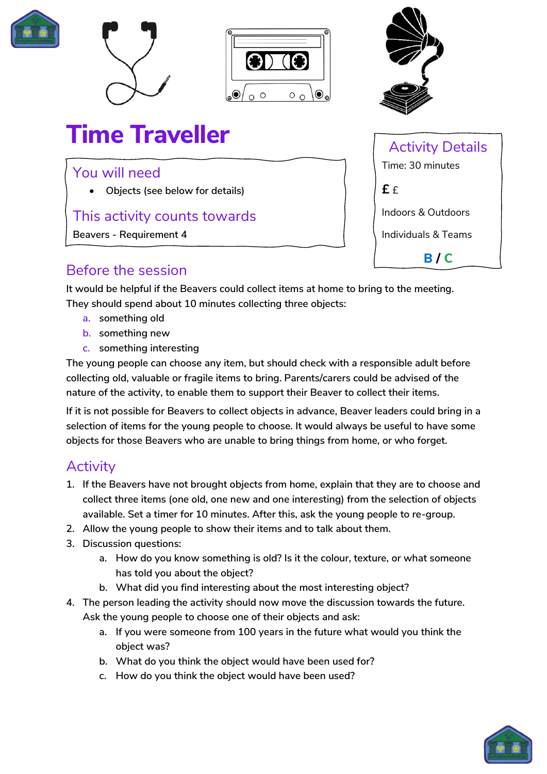







# **Time Traveller**

#### You will need

• **Objects (see below for details)**

## This activity counts towards

**Beavers - Requirement 4**

# Activity Details Time: 30 minutes **£** £ Indoors & Outdoors Individuals & Teams **B / C**

## Before the session

**It would be helpful if the Beavers could collect items at home to bring to the meeting. They should spend about 10 minutes collecting three objects:**

- **a. something old**
- **b. something new**
- **c. something interesting**

**The young people can choose any item, but should check with a responsible adult before collecting old, valuable or fragile items to bring. Parents/carers could be advised of the nature of the activity, to enable them to support their Beaver to collect their items.**

**If it is not possible for Beavers to collect objects in advance, Beaver leaders could bring in a selection of items for the young people to choose. It would always be useful to have some objects for those Beavers who are unable to bring things from home, or who forget.**

# **Activity**

- **1. If the Beavers have not brought objects from home, explain that they are to choose and collect three items (one old, one new and one interesting) from the selection of objects available. Set a timer for 10 minutes. After this, ask the young people to re-group.**
- **2. Allow the young people to show their items and to talk about them.**
- **3. Discussion questions:**
	- **a. How do you know something is old? Is it the colour, texture, or what someone has told you about the object?**
	- **b. What did you find interesting about the most interesting object?**
- **4. The person leading the activity should now move the discussion towards the future. Ask the young people to choose one of their objects and ask:**
	- **a. If you were someone from 100 years in the future what would you think the object was?**
	- **b. What do you think the object would have been used for?**
	- **c. How do you think the object would have been used?**